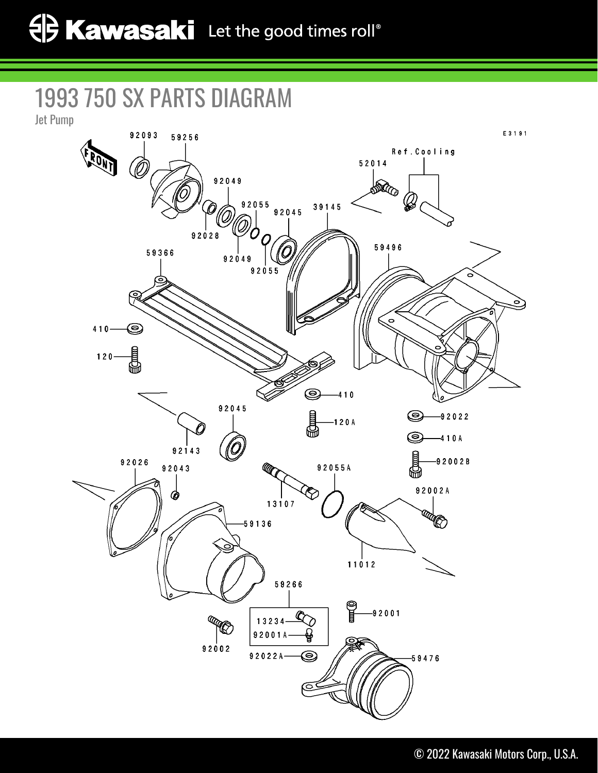1993 750 SX PARTS DIAGRAM

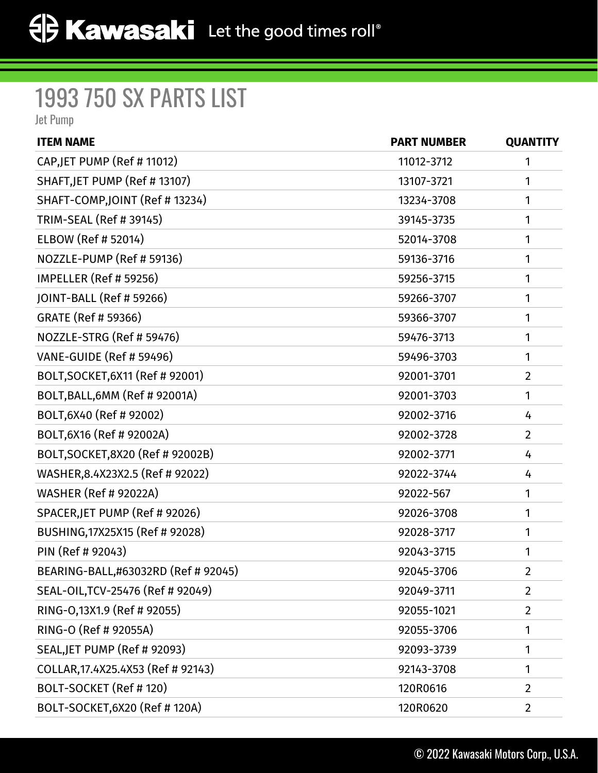## 1993 750 SX PARTS LIST

Jet Pump

| <b>ITEM NAME</b>                    | <b>PART NUMBER</b> | <b>QUANTITY</b> |
|-------------------------------------|--------------------|-----------------|
| CAP, JET PUMP (Ref # 11012)         | 11012-3712         | 1               |
| SHAFT, JET PUMP (Ref # 13107)       | 13107-3721         | 1               |
| SHAFT-COMP, JOINT (Ref # 13234)     | 13234-3708         | 1               |
| TRIM-SEAL (Ref # 39145)             | 39145-3735         | 1               |
| ELBOW (Ref # 52014)                 | 52014-3708         | 1               |
| NOZZLE-PUMP (Ref # 59136)           | 59136-3716         | 1               |
| IMPELLER (Ref # 59256)              | 59256-3715         | 1               |
| JOINT-BALL (Ref # 59266)            | 59266-3707         | 1               |
| GRATE (Ref # 59366)                 | 59366-3707         | 1               |
| NOZZLE-STRG (Ref # 59476)           | 59476-3713         | 1               |
| VANE-GUIDE (Ref # 59496)            | 59496-3703         | 1               |
| BOLT, SOCKET, 6X11 (Ref # 92001)    | 92001-3701         | $\overline{2}$  |
| BOLT, BALL, 6MM (Ref # 92001A)      | 92001-3703         | 1               |
| BOLT, 6X40 (Ref # 92002)            | 92002-3716         | 4               |
| BOLT, 6X16 (Ref # 92002A)           | 92002-3728         | $\overline{2}$  |
| BOLT, SOCKET, 8X20 (Ref # 92002B)   | 92002-3771         | 4               |
| WASHER, 8.4X23X2.5 (Ref # 92022)    | 92022-3744         | 4               |
| <b>WASHER (Ref # 92022A)</b>        | 92022-567          | 1               |
| SPACER, JET PUMP (Ref # 92026)      | 92026-3708         | 1               |
| BUSHING, 17X25X15 (Ref # 92028)     | 92028-3717         | 1               |
| PIN (Ref # 92043)                   | 92043-3715         | 1               |
| BEARING-BALL,#63032RD (Ref # 92045) | 92045-3706         | $\overline{2}$  |
| SEAL-OIL, TCV-25476 (Ref # 92049)   | 92049-3711         | $\overline{2}$  |
| RING-0,13X1.9 (Ref # 92055)         | 92055-1021         | $\overline{2}$  |
| RING-O (Ref # 92055A)               | 92055-3706         | 1               |
| SEAL, JET PUMP (Ref # 92093)        | 92093-3739         | 1               |
| COLLAR, 17.4X25.4X53 (Ref # 92143)  | 92143-3708         | 1               |
| BOLT-SOCKET (Ref # 120)             | 120R0616           | $\overline{2}$  |
| BOLT-SOCKET, 6X20 (Ref # 120A)      | 120R0620           | $\overline{2}$  |